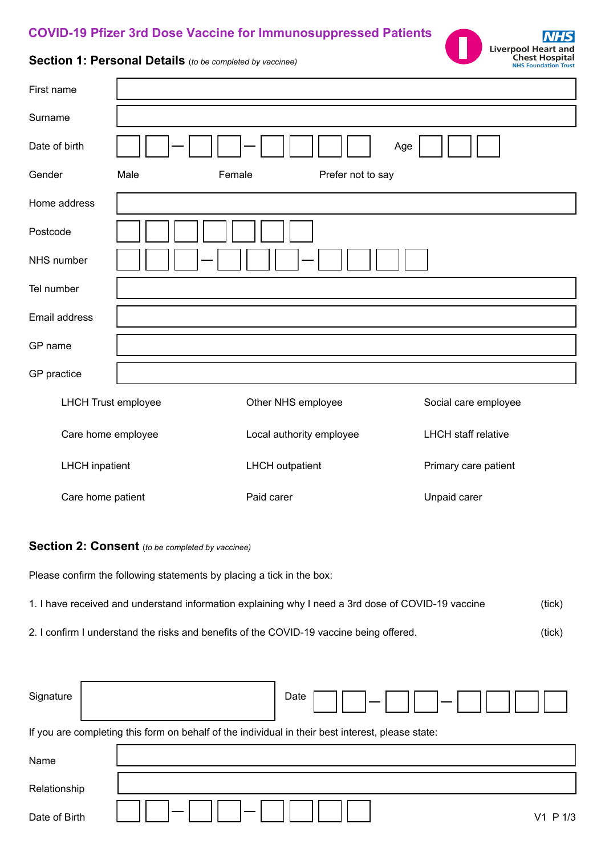## **COVID-19 Pfizer 3rd Dose Vaccine for Immunosuppressed Patients**



## **Section 1: Personal Details** (*to be completed by vaccinee)*

| First name                                                                                                   |                                                        |  |  |  |
|--------------------------------------------------------------------------------------------------------------|--------------------------------------------------------|--|--|--|
| Surname                                                                                                      |                                                        |  |  |  |
| Date of birth                                                                                                | Age                                                    |  |  |  |
| Gender                                                                                                       | Male<br>Female<br>Prefer not to say                    |  |  |  |
| Home address                                                                                                 |                                                        |  |  |  |
| Postcode                                                                                                     |                                                        |  |  |  |
| NHS number                                                                                                   |                                                        |  |  |  |
| Tel number                                                                                                   |                                                        |  |  |  |
| Email address                                                                                                |                                                        |  |  |  |
| GP name                                                                                                      |                                                        |  |  |  |
| GP practice                                                                                                  |                                                        |  |  |  |
| <b>LHCH Trust employee</b>                                                                                   | Other NHS employee<br>Social care employee             |  |  |  |
| Care home employee                                                                                           | Local authority employee<br><b>LHCH</b> staff relative |  |  |  |
| <b>LHCH</b> inpatient                                                                                        | <b>LHCH</b> outpatient<br>Primary care patient         |  |  |  |
| Care home patient                                                                                            | Paid carer<br>Unpaid carer                             |  |  |  |
| Section 2: Consent (to be completed by vaccinee)                                                             |                                                        |  |  |  |
| Please confirm the following statements by placing a tick in the box:                                        |                                                        |  |  |  |
| 1. I have received and understand information explaining why I need a 3rd dose of COVID-19 vaccine<br>(tick) |                                                        |  |  |  |

2. I confirm I understand the risks and benefits of the COVID-19 vaccine being offered.

r

| (tick) |
|--------|
| (tick) |

| Signature                                                                                         |  | Date     |  |  |
|---------------------------------------------------------------------------------------------------|--|----------|--|--|
| If you are completing this form on behalf of the individual in their best interest, please state: |  |          |  |  |
| Name                                                                                              |  |          |  |  |
| Relationship                                                                                      |  |          |  |  |
| Date of Birth                                                                                     |  | V1 P 1/3 |  |  |

7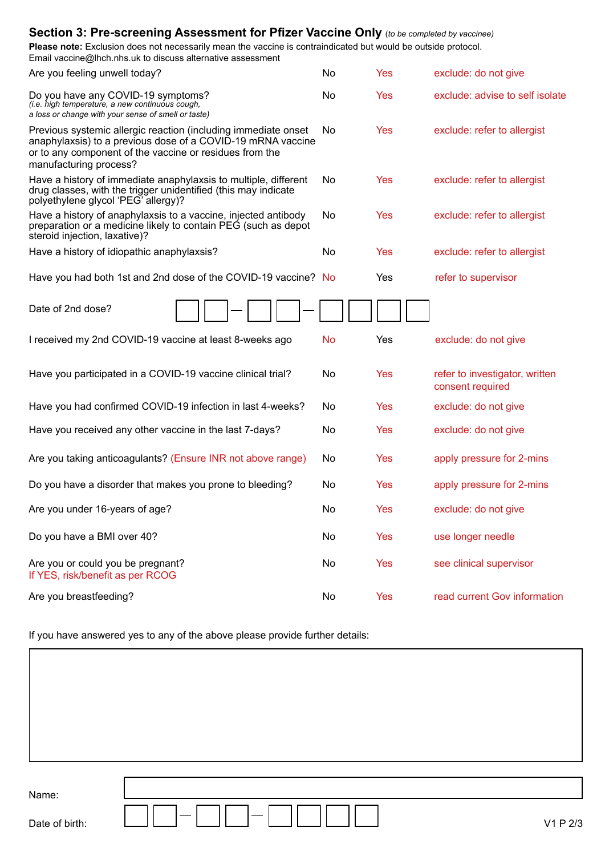| <b>Please note:</b> Exclusion does not necessarily mean the vaccine is contraindicated but would be outside protocol.<br>Email vaccine@lhch.nhs.uk to discuss alternative assessment                               |           |            |                                                    |
|--------------------------------------------------------------------------------------------------------------------------------------------------------------------------------------------------------------------|-----------|------------|----------------------------------------------------|
| Are you feeling unwell today?                                                                                                                                                                                      | No        | <b>Yes</b> | exclude: do not give                               |
| Do you have any COVID-19 symptoms?<br>(i.e. high temperature, a new continuous cough,<br>a loss or change with your sense of smell or taste)                                                                       | No        | Yes        | exclude: advise to self isolate                    |
| Previous systemic allergic reaction (including immediate onset<br>anaphylaxsis) to a previous dose of a COVID-19 mRNA vaccine<br>or to any component of the vaccine or residues from the<br>manufacturing process? | No        | Yes        | exclude: refer to allergist                        |
| Have a history of immediate anaphylaxsis to multiple, different<br>drug classes, with the trigger unidentified (this may indicate<br>polyethylene glycol 'PEG' allergy)?                                           | No        | Yes        | exclude: refer to allergist                        |
| Have a history of anaphylaxsis to a vaccine, injected antibody<br>preparation or a medicine likely to contain PEG (such as depot<br>steroid injection, laxative)?                                                  | No        | Yes        | exclude: refer to allergist                        |
| Have a history of idiopathic anaphylaxsis?                                                                                                                                                                         | No        | Yes        | exclude: refer to allergist                        |
| Have you had both 1st and 2nd dose of the COVID-19 vaccine? No                                                                                                                                                     |           | Yes        | refer to supervisor                                |
| Date of 2nd dose?                                                                                                                                                                                                  |           |            |                                                    |
| I received my 2nd COVID-19 vaccine at least 8-weeks ago                                                                                                                                                            | <b>No</b> | Yes        | exclude: do not give                               |
| Have you participated in a COVID-19 vaccine clinical trial?                                                                                                                                                        | No        | Yes        | refer to investigator, written<br>consent required |
| Have you had confirmed COVID-19 infection in last 4-weeks?                                                                                                                                                         | No.       | Yes        | exclude: do not give                               |
| Have you received any other vaccine in the last 7-days?                                                                                                                                                            | No        | Yes        | exclude: do not give                               |
| Are you taking anticoagulants? (Ensure INR not above range)                                                                                                                                                        | No        | Yes        | apply pressure for 2-mins                          |
| Do you have a disorder that makes you prone to bleeding?                                                                                                                                                           | No        | Yes        | apply pressure for 2-mins                          |
| Are you under 16-years of age?                                                                                                                                                                                     | No        | <b>Yes</b> | exclude: do not give                               |
| Do you have a BMI over 40?                                                                                                                                                                                         | No        | <b>Yes</b> | use longer needle                                  |
| Are you or could you be pregnant?<br>If YES, risk/benefit as per RCOG                                                                                                                                              | No        | <b>Yes</b> | see clinical supervisor                            |
| Are you breastfeeding?                                                                                                                                                                                             | No        | <b>Yes</b> | read current Gov information                       |

**Section 3: Pre-screening Assessment for Pfizer Vaccine Only** (*to be completed by vaccinee)*

If you have answered yes to any of the above please provide further details:

Name:

Date of birth: V1 P 2/3